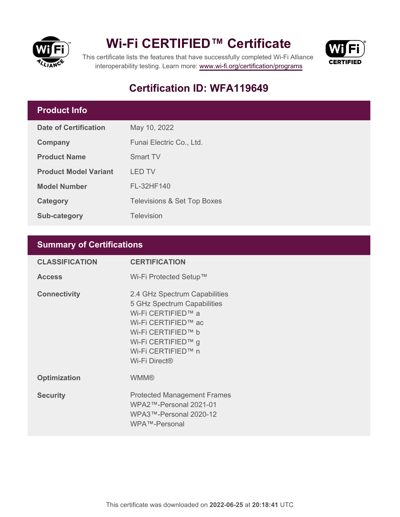

## **Wi-Fi CERTIFIED™ Certificate**



This certificate lists the features that have successfully completed Wi-Fi Alliance interoperability testing. Learn more:<www.wi-fi.org/certification/programs>

### **Certification ID: WFA119649**

### **Product Info**

| Date of Certification        | May 10, 2022                           |  |
|------------------------------|----------------------------------------|--|
| Company                      | Funai Electric Co., Ltd.               |  |
| <b>Product Name</b>          | <b>Smart TV</b>                        |  |
| <b>Product Model Variant</b> | LED TV                                 |  |
| <b>Model Number</b>          | FL-32HF140                             |  |
| Category                     | <b>Televisions &amp; Set Top Boxes</b> |  |
| <b>Sub-category</b>          | <b>Television</b>                      |  |

#### **Summary of Certifications**

| <b>CLASSIFICATION</b> | <b>CERTIFICATION</b>                                                                                                                                                                                     |
|-----------------------|----------------------------------------------------------------------------------------------------------------------------------------------------------------------------------------------------------|
| <b>Access</b>         | Wi-Fi Protected Setup™                                                                                                                                                                                   |
| <b>Connectivity</b>   | 2.4 GHz Spectrum Capabilities<br>5 GHz Spectrum Capabilities<br>Wi-Fi CERTIFIED™ a<br>Wi-Fi CERTIFIED™ ac<br>Wi-Fi CERTIFIED™ b<br>Wi-Fi CERTIFIED™ g<br>Wi-Fi CERTIFIED™ n<br>Wi-Fi Direct <sup>®</sup> |
| <b>Optimization</b>   | <b>WMM®</b>                                                                                                                                                                                              |
| <b>Security</b>       | <b>Protected Management Frames</b><br>WPA2™-Personal 2021-01<br>WPA3™-Personal 2020-12<br>WPA™-Personal                                                                                                  |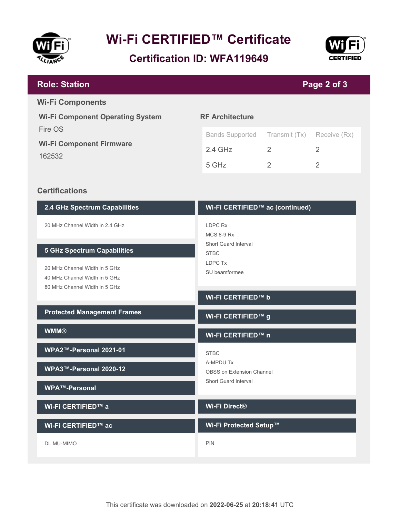

# **Wi-Fi CERTIFIED™ Certificate**

**Certification ID: WFA119649**



| <b>Role: Station</b>                                                                                                                  | Page 2 of 3                                                                                 |                |                |  |
|---------------------------------------------------------------------------------------------------------------------------------------|---------------------------------------------------------------------------------------------|----------------|----------------|--|
| <b>Wi-Fi Components</b>                                                                                                               |                                                                                             |                |                |  |
| <b>Wi-Fi Component Operating System</b>                                                                                               | <b>RF Architecture</b>                                                                      |                |                |  |
| Fire OS                                                                                                                               | <b>Bands Supported</b>                                                                      | Transmit (Tx)  | Receive (Rx)   |  |
| <b>Wi-Fi Component Firmware</b><br>162532                                                                                             | $2.4$ GHz                                                                                   | 2              | $\mathcal{P}$  |  |
|                                                                                                                                       | 5 GHz                                                                                       | $\overline{2}$ | $\overline{2}$ |  |
|                                                                                                                                       |                                                                                             |                |                |  |
| <b>Certifications</b>                                                                                                                 |                                                                                             |                |                |  |
| 2.4 GHz Spectrum Capabilities                                                                                                         | Wi-Fi CERTIFIED™ ac (continued)                                                             |                |                |  |
| 20 MHz Channel Width in 2.4 GHz                                                                                                       | LDPC Rx                                                                                     |                |                |  |
| <b>5 GHz Spectrum Capabilities</b><br>20 MHz Channel Width in 5 GHz<br>40 MHz Channel Width in 5 GHz<br>80 MHz Channel Width in 5 GHz | <b>MCS 8-9 Rx</b><br><b>Short Guard Interval</b><br><b>STBC</b><br>LDPC Tx<br>SU beamformee |                |                |  |
|                                                                                                                                       | Wi-Fi CERTIFIED™ b                                                                          |                |                |  |
| <b>Protected Management Frames</b>                                                                                                    | Wi-Fi CERTIFIED™ g                                                                          |                |                |  |
| <b>WMM®</b>                                                                                                                           | Wi-Fi CERTIFIED™ n                                                                          |                |                |  |
| WPA2™-Personal 2021-01                                                                                                                | <b>STBC</b>                                                                                 |                |                |  |
| WPA3™-Personal 2020-12                                                                                                                | A-MPDU Tx<br><b>OBSS on Extension Channel</b>                                               |                |                |  |
| <b>WPA™-Personal</b>                                                                                                                  | <b>Short Guard Interval</b>                                                                 |                |                |  |

**Wi-Fi CERTIFIED™ a**

**Wi-Fi CERTIFIED™ ac**

DL MU-MIMO

**Wi-Fi Direct®**

**Wi-Fi Protected Setup™**

PIN